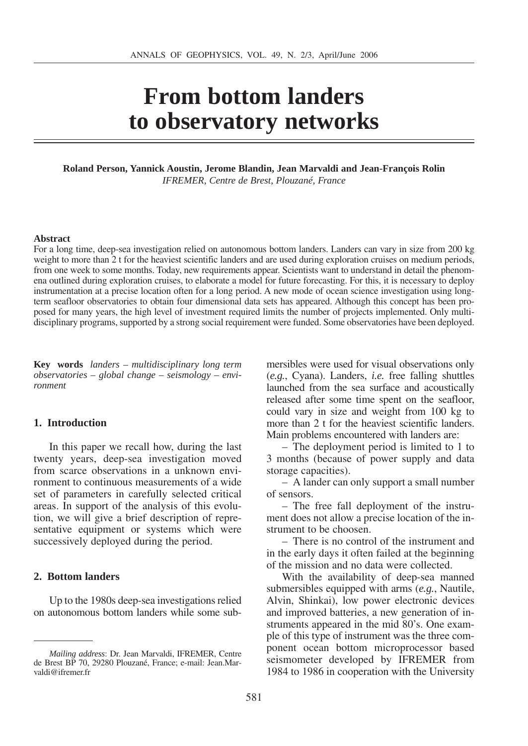# **From bottom landers to observatory networks**

**Roland Person, Yannick Aoustin, Jerome Blandin, Jean Marvaldi and Jean-François Rolin** *IFREMER, Centre de Brest, Plouzané, France*

#### **Abstract**

For a long time, deep-sea investigation relied on autonomous bottom landers. Landers can vary in size from 200 kg weight to more than 2 t for the heaviest scientific landers and are used during exploration cruises on medium periods, from one week to some months. Today, new requirements appear. Scientists want to understand in detail the phenomena outlined during exploration cruises, to elaborate a model for future forecasting. For this, it is necessary to deploy instrumentation at a precise location often for a long period. A new mode of ocean science investigation using longterm seafloor observatories to obtain four dimensional data sets has appeared. Although this concept has been proposed for many years, the high level of investment required limits the number of projects implemented. Only multidisciplinary programs, supported by a strong social requirement were funded. Some observatories have been deployed.

**Key words** *landers* – *multidisciplinary long term observatories* – *global change* – *seismology* – *environment*

#### **1. Introduction**

In this paper we recall how, during the last twenty years, deep-sea investigation moved from scarce observations in a unknown environment to continuous measurements of a wide set of parameters in carefully selected critical areas. In support of the analysis of this evolution, we will give a brief description of representative equipment or systems which were successively deployed during the period.

#### **2. Bottom landers**

Up to the 1980s deep-sea investigations relied on autonomous bottom landers while some submersibles were used for visual observations only (*e.g.*, Cyana). Landers, *i.e.* free falling shuttles launched from the sea surface and acoustically released after some time spent on the seafloor, could vary in size and weight from 100 kg to more than 2 t for the heaviest scientific landers. Main problems encountered with landers are:

– The deployment period is limited to 1 to 3 months (because of power supply and data storage capacities).

– A lander can only support a small number of sensors.

– The free fall deployment of the instrument does not allow a precise location of the instrument to be choosen.

– There is no control of the instrument and in the early days it often failed at the beginning of the mission and no data were collected.

With the availability of deep-sea manned submersibles equipped with arms (*e.g.*, Nautile, Alvin, Shinkai), low power electronic devices and improved batteries, a new generation of instruments appeared in the mid 80's. One example of this type of instrument was the three component ocean bottom microprocessor based seismometer developed by IFREMER from 1984 to 1986 in cooperation with the University

*Mailing address*: Dr. Jean Marvaldi, IFREMER, Centre de Brest BP 70, 29280 Plouzané, France; e-mail: Jean.Marvaldi@ifremer.fr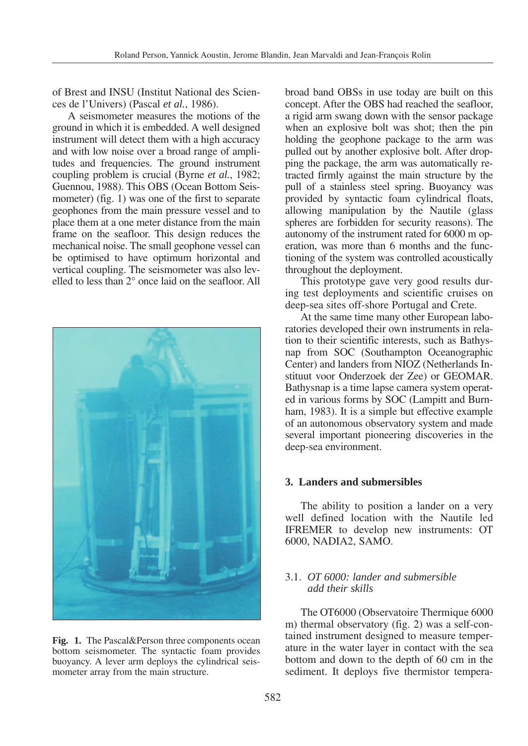of Brest and INSU (Institut National des Sciences de l'Univers) (Pascal *et al.*, 1986).

A seismometer measures the motions of the ground in which it is embedded. A well designed instrument will detect them with a high accuracy and with low noise over a broad range of amplitudes and frequencies. The ground instrument coupling problem is crucial (Byrne *et al.*, 1982; Guennou, 1988). This OBS (Ocean Bottom Seismometer) (fig. 1) was one of the first to separate geophones from the main pressure vessel and to place them at a one meter distance from the main frame on the seafloor. This design reduces the mechanical noise. The small geophone vessel can be optimised to have optimum horizontal and vertical coupling. The seismometer was also levelled to less than 2° once laid on the seafloor. All



**Fig. 1.** The Pascal&Person three components ocean bottom seismometer. The syntactic foam provides buoyancy. A lever arm deploys the cylindrical seismometer array from the main structure.

broad band OBSs in use today are built on this concept. After the OBS had reached the seafloor, a rigid arm swang down with the sensor package when an explosive bolt was shot; then the pin holding the geophone package to the arm was pulled out by another explosive bolt. After dropping the package, the arm was automatically retracted firmly against the main structure by the pull of a stainless steel spring. Buoyancy was provided by syntactic foam cylindrical floats, allowing manipulation by the Nautile (glass spheres are forbidden for security reasons). The autonomy of the instrument rated for 6000 m operation, was more than 6 months and the functioning of the system was controlled acoustically throughout the deployment.

This prototype gave very good results during test deployments and scientific cruises on deep-sea sites off-shore Portugal and Crete.

At the same time many other European laboratories developed their own instruments in relation to their scientific interests, such as Bathysnap from SOC (Southampton Oceanographic Center) and landers from NIOZ (Netherlands Instituut voor Onderzoek der Zee) or GEOMAR. Bathysnap is a time lapse camera system operated in various forms by SOC (Lampitt and Burnham, 1983). It is a simple but effective example of an autonomous observatory system and made several important pioneering discoveries in the deep-sea environment.

## **3. Landers and submersibles**

The ability to position a lander on a very well defined location with the Nautile led IFREMER to develop new instruments: OT 6000, NADIA2, SAMO.

# 3.1. *OT 6000: lander and submersible add their skills*

The OT6000 (Observatoire Thermique 6000 m) thermal observatory (fig. 2) was a self-contained instrument designed to measure temperature in the water layer in contact with the sea bottom and down to the depth of 60 cm in the sediment. It deploys five thermistor tempera-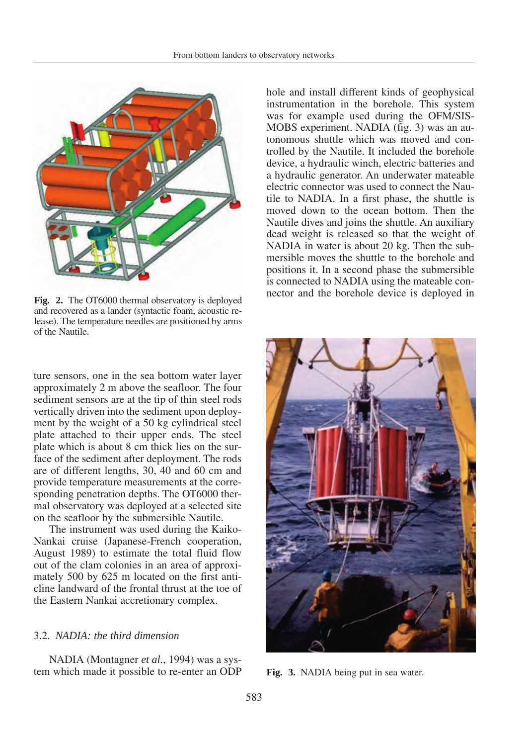

and recovered as a lander (syntactic foam, acoustic release). The temperature needles are positioned by arms of the Nautile.

ture sensors, one in the sea bottom water layer approximately 2 m above the seafloor. The four sediment sensors are at the tip of thin steel rods vertically driven into the sediment upon deployment by the weight of a 50 kg cylindrical steel plate attached to their upper ends. The steel plate which is about 8 cm thick lies on the surface of the sediment after deployment. The rods are of different lengths, 30, 40 and 60 cm and provide temperature measurements at the corresponding penetration depths. The OT6000 thermal observatory was deployed at a selected site on the seafloor by the submersible Nautile.

The instrument was used during the Kaiko-Nankai cruise (Japanese-French cooperation, August 1989) to estimate the total fluid flow out of the clam colonies in an area of approximately 500 by 625 m located on the first anticline landward of the frontal thrust at the toe of the Eastern Nankai accretionary complex.

## 3.2. *NADIA: the third dimension*

NADIA (Montagner *et al.*, 1994) was a system which made it possible to re-enter an ODP

hole and install different kinds of geophysical instrumentation in the borehole. This system was for example used during the OFM/SIS-MOBS experiment. NADIA (fig. 3) was an autonomous shuttle which was moved and controlled by the Nautile. It included the borehole device, a hydraulic winch, electric batteries and a hydraulic generator. An underwater mateable electric connector was used to connect the Nautile to NADIA. In a first phase, the shuttle is moved down to the ocean bottom. Then the Nautile dives and joins the shuttle. An auxiliary dead weight is released so that the weight of NADIA in water is about 20 kg. Then the submersible moves the shuttle to the borehole and positions it. In a second phase the submersible is connected to NADIA using the mateable con-Fig. 2. The OT6000 thermal observatory is deployed nector and the borehole device is deployed in



**Fig. 3.** NADIA being put in sea water.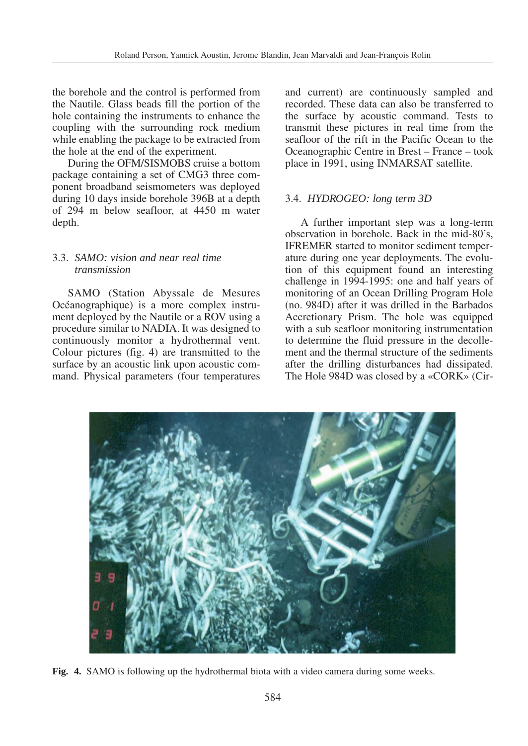the borehole and the control is performed from the Nautile. Glass beads fill the portion of the hole containing the instruments to enhance the coupling with the surrounding rock medium while enabling the package to be extracted from the hole at the end of the experiment.

During the OFM/SISMOBS cruise a bottom package containing a set of CMG3 three component broadband seismometers was deployed during 10 days inside borehole 396B at a depth of 294 m below seafloor, at 4450 m water depth.

# 3.3. *SAMO: vision and near real time transmission*

SAMO (Station Abyssale de Mesures Océanographique) is a more complex instrument deployed by the Nautile or a ROV using a procedure similar to NADIA. It was designed to continuously monitor a hydrothermal vent. Colour pictures (fig. 4) are transmitted to the surface by an acoustic link upon acoustic command. Physical parameters (four temperatures and current) are continuously sampled and recorded. These data can also be transferred to the surface by acoustic command. Tests to transmit these pictures in real time from the seafloor of the rift in the Pacific Ocean to the Oceanographic Centre in Brest – France – took place in 1991, using INMARSAT satellite.

# 3.4. *HYDROGEO: long term 3D*

A further important step was a long-term observation in borehole. Back in the mid-80's, IFREMER started to monitor sediment temperature during one year deployments. The evolution of this equipment found an interesting challenge in 1994-1995: one and half years of monitoring of an Ocean Drilling Program Hole (no. 984D) after it was drilled in the Barbados Accretionary Prism. The hole was equipped with a sub seafloor monitoring instrumentation to determine the fluid pressure in the decollement and the thermal structure of the sediments after the drilling disturbances had dissipated. The Hole 984D was closed by a «CORK» (Cir-



**Fig. 4.** SAMO is following up the hydrothermal biota with a video camera during some weeks.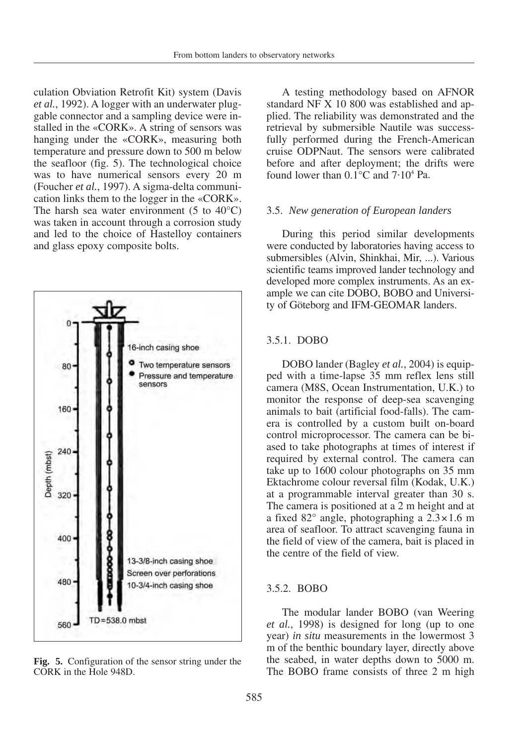culation Obviation Retrofit Kit) system (Davis *et al.*, 1992). A logger with an underwater pluggable connector and a sampling device were installed in the «CORK». A string of sensors was hanging under the «CORK», measuring both temperature and pressure down to 500 m below the seafloor (fig. 5). The technological choice was to have numerical sensors every 20 m (Foucher *et al.*, 1997). A sigma-delta communication links them to the logger in the «CORK». The harsh sea water environment  $(5 \text{ to } 40^{\circ} \text{C})$ was taken in account through a corrosion study and led to the choice of Hastelloy containers and glass epoxy composite bolts.



**Fig. 5.** Configuration of the sensor string under the CORK in the Hole 948D.

A testing methodology based on AFNOR standard NF X 10 800 was established and applied. The reliability was demonstrated and the retrieval by submersible Nautile was successfully performed during the French-American cruise ODPNaut. The sensors were calibrated before and after deployment; the drifts were found lower than  $0.\overline{1}^{\circ}$ C and  $7.10^{4}$  Pa.

#### 3.5. *New generation of European landers*

During this period similar developments were conducted by laboratories having access to submersibles (Alvin, Shinkhai, Mir, ...). Various scientific teams improved lander technology and developed more complex instruments. As an example we can cite DOBO, BOBO and University of Göteborg and IFM-GEOMAR landers.

#### 3.5.1. DOBO

DOBO lander (Bagley *et al.*, 2004) is equipped with a time-lapse 35 mm reflex lens still camera (M8S, Ocean Instrumentation, U.K.) to monitor the response of deep-sea scavenging animals to bait (artificial food-falls). The camera is controlled by a custom built on-board control microprocessor. The camera can be biased to take photographs at times of interest if required by external control. The camera can take up to 1600 colour photographs on 35 mm Ektachrome colour reversal film (Kodak, U.K.) at a programmable interval greater than 30 s. The camera is positioned at a 2 m height and at a fixed 82° angle, photographing a 2.3×1.6 m area of seafloor. To attract scavenging fauna in the field of view of the camera, bait is placed in the centre of the field of view.

#### 3.5.2. BOBO

The modular lander BOBO (van Weering *et al.*, 1998) is designed for long (up to one year) *in situ* measurements in the lowermost 3 m of the benthic boundary layer, directly above the seabed, in water depths down to 5000 m. The BOBO frame consists of three 2 m high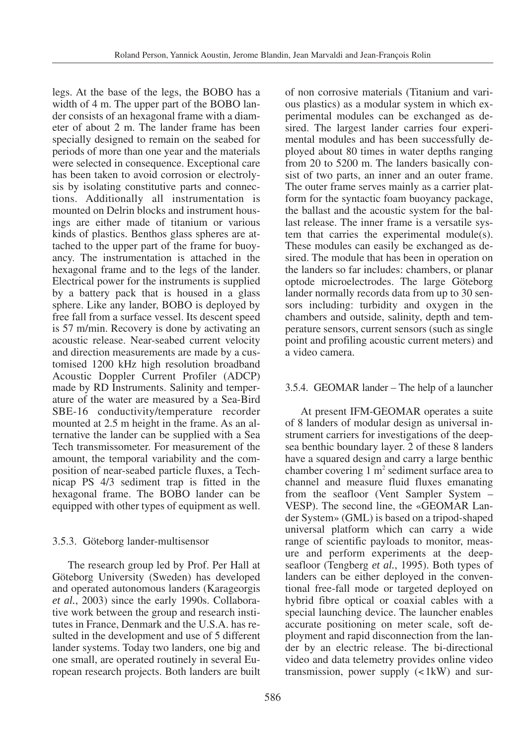legs. At the base of the legs, the BOBO has a width of 4 m. The upper part of the BOBO lander consists of an hexagonal frame with a diameter of about 2 m. The lander frame has been specially designed to remain on the seabed for periods of more than one year and the materials were selected in consequence. Exceptional care has been taken to avoid corrosion or electrolysis by isolating constitutive parts and connections. Additionally all instrumentation is mounted on Delrin blocks and instrument housings are either made of titanium or various kinds of plastics. Benthos glass spheres are attached to the upper part of the frame for buoyancy. The instrumentation is attached in the hexagonal frame and to the legs of the lander. Electrical power for the instruments is supplied by a battery pack that is housed in a glass sphere. Like any lander, BOBO is deployed by free fall from a surface vessel. Its descent speed is 57 m/min. Recovery is done by activating an acoustic release. Near-seabed current velocity and direction measurements are made by a customised 1200 kHz high resolution broadband Acoustic Doppler Current Profiler (ADCP) made by RD Instruments. Salinity and temperature of the water are measured by a Sea-Bird SBE-16 conductivity/temperature recorder mounted at 2.5 m height in the frame. As an alternative the lander can be supplied with a Sea Tech transmissometer. For measurement of the amount, the temporal variability and the composition of near-seabed particle fluxes, a Technicap PS 4/3 sediment trap is fitted in the hexagonal frame. The BOBO lander can be equipped with other types of equipment as well.

# 3.5.3. Göteborg lander-multisensor

The research group led by Prof. Per Hall at Göteborg University (Sweden) has developed and operated autonomous landers (Karageorgis *et al.*, 2003) since the early 1990s. Collaborative work between the group and research institutes in France, Denmark and the U.S.A. has resulted in the development and use of 5 different lander systems. Today two landers, one big and one small, are operated routinely in several European research projects. Both landers are built of non corrosive materials (Titanium and various plastics) as a modular system in which experimental modules can be exchanged as desired. The largest lander carries four experimental modules and has been successfully deployed about 80 times in water depths ranging from 20 to 5200 m. The landers basically consist of two parts, an inner and an outer frame. The outer frame serves mainly as a carrier platform for the syntactic foam buoyancy package, the ballast and the acoustic system for the ballast release. The inner frame is a versatile system that carries the experimental module(s). These modules can easily be exchanged as desired. The module that has been in operation on the landers so far includes: chambers, or planar optode microelectrodes. The large Göteborg lander normally records data from up to 30 sensors including: turbidity and oxygen in the chambers and outside, salinity, depth and temperature sensors, current sensors (such as single point and profiling acoustic current meters) and a video camera.

# 3.5.4. GEOMAR lander – The help of a launcher

At present IFM-GEOMAR operates a suite of 8 landers of modular design as universal instrument carriers for investigations of the deepsea benthic boundary layer. 2 of these 8 landers have a squared design and carry a large benthic chamber covering  $1 \text{ m}^2$  sediment surface area to channel and measure fluid fluxes emanating from the seafloor (Vent Sampler System – VESP). The second line, the «GEOMAR Lander System» (GML) is based on a tripod-shaped universal platform which can carry a wide range of scientific payloads to monitor, measure and perform experiments at the deepseafloor (Tengberg *et al.*, 1995). Both types of landers can be either deployed in the conventional free-fall mode or targeted deployed on hybrid fibre optical or coaxial cables with a special launching device. The launcher enables accurate positioning on meter scale, soft deployment and rapid disconnection from the lander by an electric release. The bi-directional video and data telemetry provides online video transmission, power supply  $(<1kW)$  and sur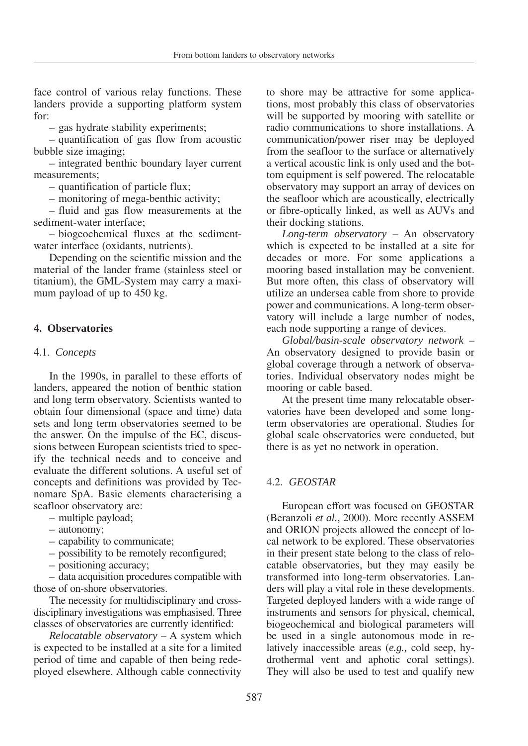face control of various relay functions. These landers provide a supporting platform system for:

– gas hydrate stability experiments;

– quantification of gas flow from acoustic bubble size imaging;

– integrated benthic boundary layer current measurements;

– quantification of particle flux;

– monitoring of mega-benthic activity;

– fluid and gas flow measurements at the sediment-water interface;

– biogeochemical fluxes at the sedimentwater interface (oxidants, nutrients).

Depending on the scientific mission and the material of the lander frame (stainless steel or titanium), the GML-System may carry a maximum payload of up to 450 kg.

# **4. Observatories**

# 4.1. *Concepts*

In the 1990s, in parallel to these efforts of landers, appeared the notion of benthic station and long term observatory. Scientists wanted to obtain four dimensional (space and time) data sets and long term observatories seemed to be the answer. On the impulse of the EC, discussions between European scientists tried to specify the technical needs and to conceive and evaluate the different solutions. A useful set of concepts and definitions was provided by Tecnomare SpA. Basic elements characterising a seafloor observatory are:

– multiple payload;

- autonomy;
- capability to communicate;
- possibility to be remotely reconfigured;
- positioning accuracy;

– data acquisition procedures compatible with those of on-shore observatories.

The necessity for multidisciplinary and crossdisciplinary investigations was emphasised. Three classes of observatories are currently identified:

*Relocatable observatory* – A system which is expected to be installed at a site for a limited period of time and capable of then being redeployed elsewhere. Although cable connectivity

to shore may be attractive for some applications, most probably this class of observatories will be supported by mooring with satellite or radio communications to shore installations. A communication/power riser may be deployed from the seafloor to the surface or alternatively a vertical acoustic link is only used and the bottom equipment is self powered. The relocatable observatory may support an array of devices on the seafloor which are acoustically, electrically or fibre-optically linked, as well as AUVs and their docking stations.

*Long-term observatory* – An observatory which is expected to be installed at a site for decades or more. For some applications a mooring based installation may be convenient. But more often, this class of observatory will utilize an undersea cable from shore to provide power and communications. A long-term observatory will include a large number of nodes, each node supporting a range of devices.

*Global/basin-scale observatory network* – An observatory designed to provide basin or global coverage through a network of observatories. Individual observatory nodes might be mooring or cable based.

At the present time many relocatable observatories have been developed and some longterm observatories are operational. Studies for global scale observatories were conducted, but there is as yet no network in operation.

# 4.2. *GEOSTAR*

European effort was focused on GEOSTAR (Beranzoli *et al.*, 2000). More recently ASSEM and ORION projects allowed the concept of local network to be explored. These observatories in their present state belong to the class of relocatable observatories, but they may easily be transformed into long-term observatories. Landers will play a vital role in these developments. Targeted deployed landers with a wide range of instruments and sensors for physical, chemical, biogeochemical and biological parameters will be used in a single autonomous mode in relatively inaccessible areas (*e.g.,* cold seep, hydrothermal vent and aphotic coral settings). They will also be used to test and qualify new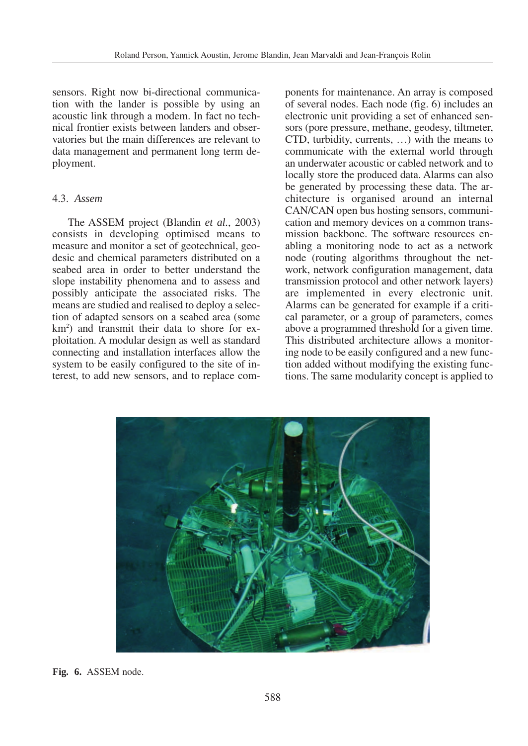sensors. Right now bi-directional communication with the lander is possible by using an acoustic link through a modem. In fact no technical frontier exists between landers and observatories but the main differences are relevant to data management and permanent long term deployment.

#### 4.3. *Assem*

The ASSEM project (Blandin *et al.*, 2003) consists in developing optimised means to measure and monitor a set of geotechnical, geodesic and chemical parameters distributed on a seabed area in order to better understand the slope instability phenomena and to assess and possibly anticipate the associated risks. The means are studied and realised to deploy a selection of adapted sensors on a seabed area (some km<sup>2</sup>) and transmit their data to shore for exploitation. A modular design as well as standard connecting and installation interfaces allow the system to be easily configured to the site of interest, to add new sensors, and to replace components for maintenance. An array is composed of several nodes. Each node (fig. 6) includes an electronic unit providing a set of enhanced sensors (pore pressure, methane, geodesy, tiltmeter, CTD, turbidity, currents, …) with the means to communicate with the external world through an underwater acoustic or cabled network and to locally store the produced data. Alarms can also be generated by processing these data. The architecture is organised around an internal CAN/CAN open bus hosting sensors, communication and memory devices on a common transmission backbone. The software resources enabling a monitoring node to act as a network node (routing algorithms throughout the network, network configuration management, data transmission protocol and other network layers) are implemented in every electronic unit. Alarms can be generated for example if a critical parameter, or a group of parameters, comes above a programmed threshold for a given time. This distributed architecture allows a monitoring node to be easily configured and a new function added without modifying the existing functions. The same modularity concept is applied to



**Fig. 6.** ASSEM node.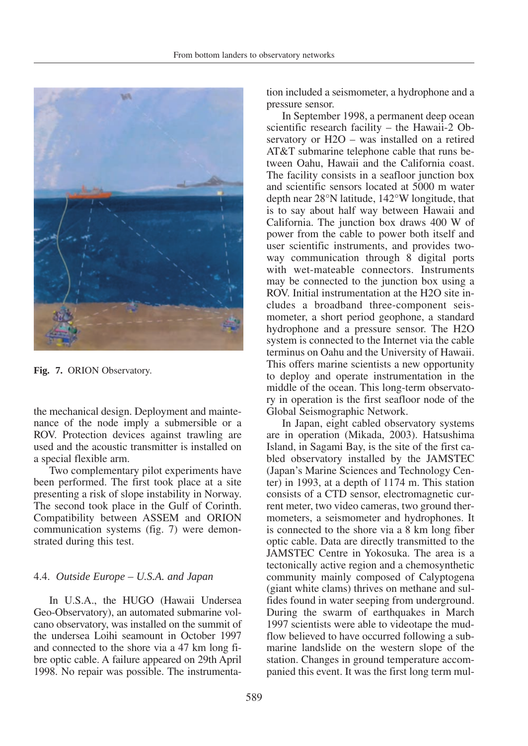

**Fig. 7.** ORION Observatory.

the mechanical design. Deployment and maintenance of the node imply a submersible or a ROV. Protection devices against trawling are used and the acoustic transmitter is installed on a special flexible arm.

Two complementary pilot experiments have been performed. The first took place at a site presenting a risk of slope instability in Norway. The second took place in the Gulf of Corinth. Compatibility between ASSEM and ORION communication systems (fig. 7) were demonstrated during this test.

# 4.4. *Outside Europe – U.S.A. and Japan*

In U.S.A., the HUGO (Hawaii Undersea Geo-Observatory), an automated submarine volcano observatory, was installed on the summit of the undersea Loihi seamount in October 1997 and connected to the shore via a 47 km long fibre optic cable. A failure appeared on 29th April 1998. No repair was possible. The instrumentation included a seismometer, a hydrophone and a pressure sensor.

In September 1998, a permanent deep ocean scientific research facility – the Hawaii-2 Observatory or H2O – was installed on a retired AT&T submarine telephone cable that runs between Oahu, Hawaii and the California coast. The facility consists in a seafloor junction box and scientific sensors located at 5000 m water depth near 28°N latitude, 142°W longitude, that is to say about half way between Hawaii and California. The junction box draws 400 W of power from the cable to power both itself and user scientific instruments, and provides twoway communication through 8 digital ports with wet-mateable connectors. Instruments may be connected to the junction box using a ROV. Initial instrumentation at the H2O site includes a broadband three-component seismometer, a short period geophone, a standard hydrophone and a pressure sensor. The H2O system is connected to the Internet via the cable terminus on Oahu and the University of Hawaii. This offers marine scientists a new opportunity to deploy and operate instrumentation in the middle of the ocean. This long-term observatory in operation is the first seafloor node of the Global Seismographic Network.

In Japan, eight cabled observatory systems are in operation (Mikada, 2003). Hatsushima Island, in Sagami Bay, is the site of the first cabled observatory installed by the JAMSTEC (Japan's Marine Sciences and Technology Center) in 1993, at a depth of 1174 m. This station consists of a CTD sensor, electromagnetic current meter, two video cameras, two ground thermometers, a seismometer and hydrophones. It is connected to the shore via a 8 km long fiber optic cable. Data are directly transmitted to the JAMSTEC Centre in Yokosuka. The area is a tectonically active region and a chemosynthetic community mainly composed of Calyptogena (giant white clams) thrives on methane and sulfides found in water seeping from underground. During the swarm of earthquakes in March 1997 scientists were able to videotape the mudflow believed to have occurred following a submarine landslide on the western slope of the station. Changes in ground temperature accompanied this event. It was the first long term mul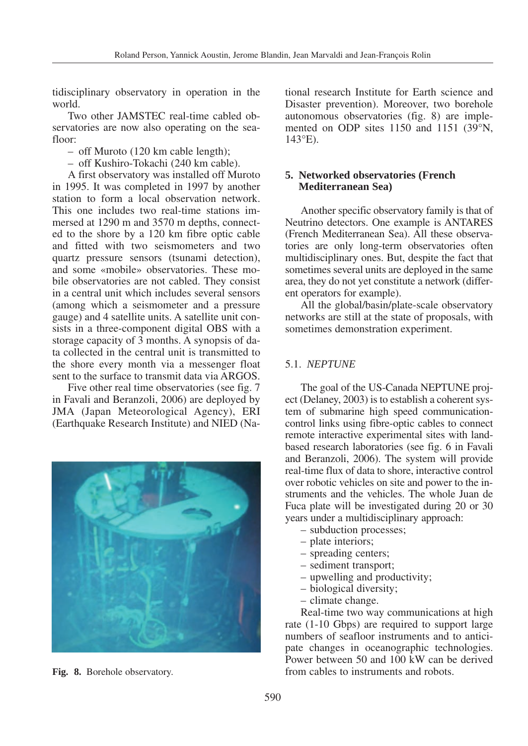tidisciplinary observatory in operation in the world.

Two other JAMSTEC real-time cabled observatories are now also operating on the seafloor:

- off Muroto (120 km cable length);
- off Kushiro-Tokachi (240 km cable).

A first observatory was installed off Muroto in 1995. It was completed in 1997 by another station to form a local observation network. This one includes two real-time stations immersed at 1290 m and 3570 m depths, connected to the shore by a 120 km fibre optic cable and fitted with two seismometers and two quartz pressure sensors (tsunami detection), and some «mobile» observatories. These mobile observatories are not cabled. They consist in a central unit which includes several sensors (among which a seismometer and a pressure gauge) and 4 satellite units. A satellite unit consists in a three-component digital OBS with a storage capacity of 3 months. A synopsis of data collected in the central unit is transmitted to the shore every month via a messenger float sent to the surface to transmit data via ARGOS.

Five other real time observatories (see fig. 7 in Favali and Beranzoli, 2006) are deployed by JMA (Japan Meteorological Agency), ERI (Earthquake Research Institute) and NIED (Na-



tional research Institute for Earth science and Disaster prevention). Moreover, two borehole autonomous observatories (fig. 8) are implemented on ODP sites 1150 and 1151 (39°N, 143°E).

# **5. Networked observatories (French Mediterranean Sea)**

Another specific observatory family is that of Neutrino detectors. One example is ANTARES (French Mediterranean Sea). All these observatories are only long-term observatories often multidisciplinary ones. But, despite the fact that sometimes several units are deployed in the same area, they do not yet constitute a network (different operators for example).

All the global/basin/plate-scale observatory networks are still at the state of proposals, with sometimes demonstration experiment.

## 5.1. *NEPTUNE*

The goal of the US-Canada NEPTUNE project (Delaney, 2003) is to establish a coherent system of submarine high speed communicationcontrol links using fibre-optic cables to connect remote interactive experimental sites with landbased research laboratories (see fig. 6 in Favali and Beranzoli, 2006). The system will provide real-time flux of data to shore, interactive control over robotic vehicles on site and power to the instruments and the vehicles. The whole Juan de Fuca plate will be investigated during 20 or 30 years under a multidisciplinary approach:

- subduction processes;
- plate interiors;
- spreading centers;
- sediment transport;
- upwelling and productivity;
- biological diversity;
- climate change.

Real-time two way communications at high rate (1-10 Gbps) are required to support large numbers of seafloor instruments and to anticipate changes in oceanographic technologies. Power between 50 and 100 kW can be derived **Fig. 8.** Borehole observatory. **Fig. 8.** Borehole observatory. **Fig. 8. Fig. 8.** Borehole observatory.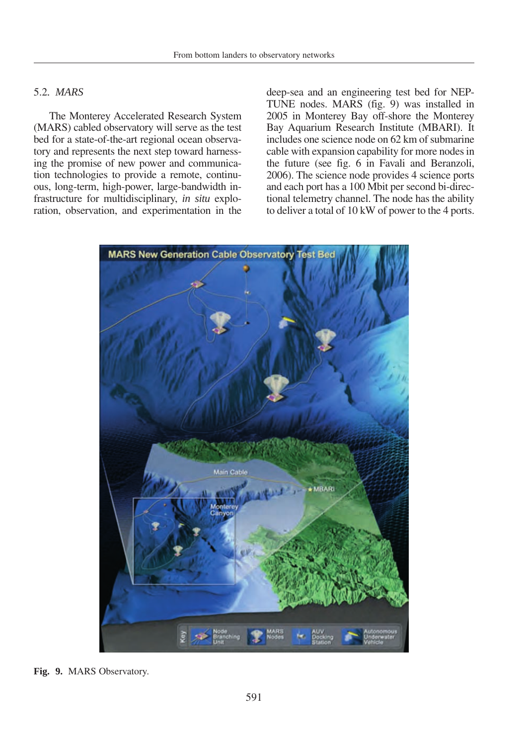# 5.2*. MARS*

The Monterey Accelerated Research System (MARS) cabled observatory will serve as the test bed for a state-of-the-art regional ocean observatory and represents the next step toward harnessing the promise of new power and communication technologies to provide a remote, continuous, long-term, high-power, large-bandwidth infrastructure for multidisciplinary, *in situ* exploration, observation, and experimentation in the deep-sea and an engineering test bed for NEP-TUNE nodes. MARS (fig. 9) was installed in 2005 in Monterey Bay off-shore the Monterey Bay Aquarium Research Institute (MBARI). It includes one science node on 62 km of submarine cable with expansion capability for more nodes in the future (see fig. 6 in Favali and Beranzoli, 2006). The science node provides 4 science ports and each port has a 100 Mbit per second bi-directional telemetry channel. The node has the ability to deliver a total of 10 kW of power to the 4 ports.



**Fig. 9.** MARS Observatory.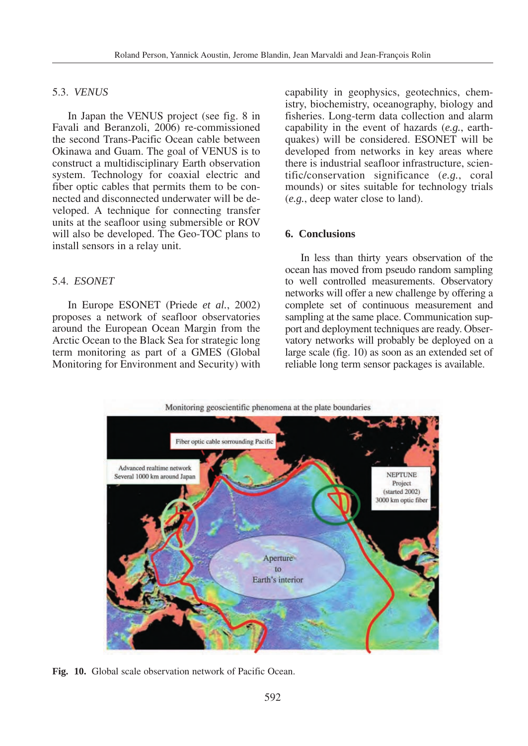# 5.3. *VENUS*

In Japan the VENUS project (see fig. 8 in Favali and Beranzoli, 2006) re-commissioned the second Trans-Pacific Ocean cable between Okinawa and Guam. The goal of VENUS is to construct a multidisciplinary Earth observation system. Technology for coaxial electric and fiber optic cables that permits them to be connected and disconnected underwater will be developed. A technique for connecting transfer units at the seafloor using submersible or ROV will also be developed. The Geo-TOC plans to install sensors in a relay unit.

# 5.4. *ESONET*

In Europe ESONET (Priede *et al.*, 2002) proposes a network of seafloor observatories around the European Ocean Margin from the Arctic Ocean to the Black Sea for strategic long term monitoring as part of a GMES (Global Monitoring for Environment and Security) with capability in geophysics, geotechnics, chemistry, biochemistry, oceanography, biology and fisheries. Long-term data collection and alarm capability in the event of hazards (*e.g.*, earthquakes) will be considered. ESONET will be developed from networks in key areas where there is industrial seafloor infrastructure, scientific/conservation significance (*e.g.*, coral mounds) or sites suitable for technology trials (*e.g.*, deep water close to land).

## **6. Conclusions**

In less than thirty years observation of the ocean has moved from pseudo random sampling to well controlled measurements. Observatory networks will offer a new challenge by offering a complete set of continuous measurement and sampling at the same place. Communication support and deployment techniques are ready. Observatory networks will probably be deployed on a large scale (fig. 10) as soon as an extended set of reliable long term sensor packages is available.



**Fig. 10.** Global scale observation network of Pacific Ocean.